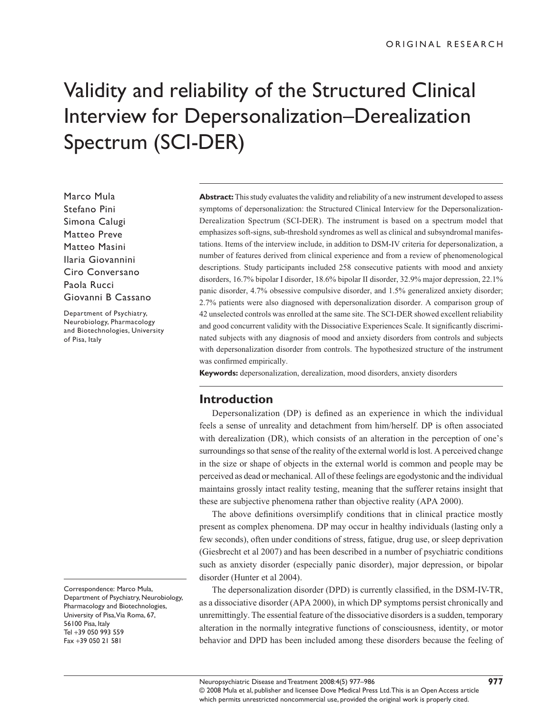# Validity and reliability of the Structured Clinical Interview for Depersonalization–Derealization Spectrum (SCI-DER)

Marco Mula Stefano Pini Simona Calugi Matteo Preve Matteo Masini Ilaria Giovannini Ciro Conversano Paola Rucci Giovanni B Cassano

Department of Psychiatry, Neurobiology, Pharmacology and Biotechnologies, University of Pisa, Italy

Correspondence: Marco Mula, Department of Psychiatry, Neurobiology, Pharmacology and Biotechnologies, University of Pisa, Via Roma, 67, 56100 Pisa, Italy Tel +39 050 993 559 Fax +39 050 21 581

**Abstract:** This study evaluates the validity and reliability of a new instrument developed to assess symptoms of depersonalization: the Structured Clinical Interview for the Depersonalization-Derealization Spectrum (SCI-DER). The instrument is based on a spectrum model that emphasizes soft-signs, sub-threshold syndromes as well as clinical and subsyndromal manifestations. Items of the interview include, in addition to DSM-IV criteria for depersonalization, a number of features derived from clinical experience and from a review of phenomenological descriptions. Study participants included 258 consecutive patients with mood and anxiety disorders, 16.7% bipolar I disorder, 18.6% bipolar II disorder, 32.9% major depression, 22.1% panic disorder, 4.7% obsessive compulsive disorder, and 1.5% generalized anxiety disorder; 2.7% patients were also diagnosed with depersonalization disorder. A comparison group of 42 unselected controls was enrolled at the same site. The SCI-DER showed excellent reliability and good concurrent validity with the Dissociative Experiences Scale. It significantly discriminated subjects with any diagnosis of mood and anxiety disorders from controls and subjects with depersonalization disorder from controls. The hypothesized structure of the instrument was confirmed empirically.

**Keywords:** depersonalization, derealization, mood disorders, anxiety disorders

## **Introduction**

Depersonalization (DP) is defined as an experience in which the individual feels a sense of unreality and detachment from him/herself. DP is often associated with derealization (DR), which consists of an alteration in the perception of one's surroundings so that sense of the reality of the external world is lost. A perceived change in the size or shape of objects in the external world is common and people may be perceived as dead or mechanical. All of these feelings are egodystonic and the individual maintains grossly intact reality testing, meaning that the sufferer retains insight that these are subjective phenomena rather than objective reality (APA 2000).

The above definitions oversimplify conditions that in clinical practice mostly present as complex phenomena. DP may occur in healthy individuals (lasting only a few seconds), often under conditions of stress, fatigue, drug use, or sleep deprivation (Giesbrecht et al 2007) and has been described in a number of psychiatric conditions such as anxiety disorder (especially panic disorder), major depression, or bipolar disorder (Hunter et al 2004).

The depersonalization disorder (DPD) is currently classified, in the DSM-IV-TR, as a dissociative disorder (APA 2000), in which DP symptoms persist chronically and unremittingly. The essential feature of the dissociative disorders is a sudden, temporary alteration in the normally integrative functions of consciousness, identity, or motor behavior and DPD has been included among these disorders because the feeling of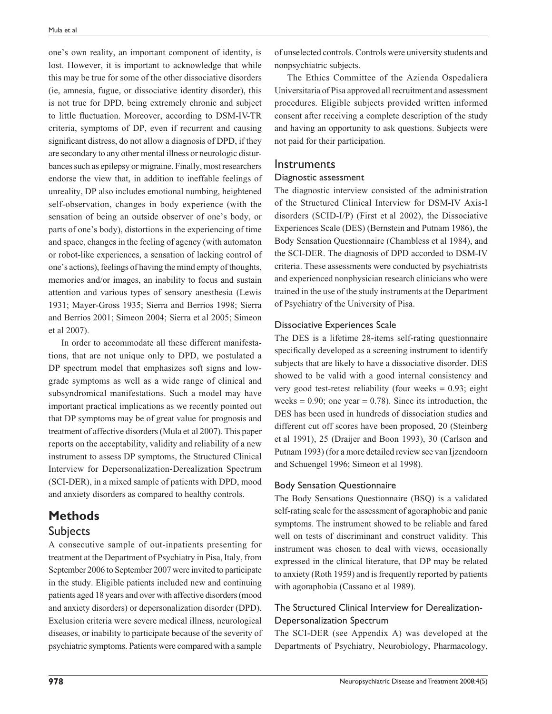one's own reality, an important component of identity, is lost. However, it is important to acknowledge that while this may be true for some of the other dissociative disorders (ie, amnesia, fugue, or dissociative identity disorder), this is not true for DPD, being extremely chronic and subject to little fluctuation. Moreover, according to DSM-IV-TR criteria, symptoms of DP, even if recurrent and causing significant distress, do not allow a diagnosis of DPD, if they are secondary to any other mental illness or neurologic disturbances such as epilepsy or migraine. Finally, most researchers endorse the view that, in addition to ineffable feelings of unreality, DP also includes emotional numbing, heightened self-observation, changes in body experience (with the sensation of being an outside observer of one's body, or parts of one's body), distortions in the experiencing of time and space, changes in the feeling of agency (with automaton or robot-like experiences, a sensation of lacking control of one's actions), feelings of having the mind empty of thoughts, memories and/or images, an inability to focus and sustain attention and various types of sensory anesthesia (Lewis 1931; Mayer-Gross 1935; Sierra and Berrios 1998; Sierra and Berrios 2001; Simeon 2004; Sierra et al 2005; Simeon et al 2007).

In order to accommodate all these different manifestations, that are not unique only to DPD, we postulated a DP spectrum model that emphasizes soft signs and lowgrade symptoms as well as a wide range of clinical and subsyndromical manifestations. Such a model may have important practical implications as we recently pointed out that DP symptoms may be of great value for prognosis and treatment of affective disorders (Mula et al 2007). This paper reports on the acceptability, validity and reliability of a new instrument to assess DP symptoms, the Structured Clinical Interview for Depersonalization-Derealization Spectrum (SCI-DER), in a mixed sample of patients with DPD, mood and anxiety disorders as compared to healthy controls.

#### **Methods**

#### Subjects

A consecutive sample of out-inpatients presenting for treatment at the Department of Psychiatry in Pisa, Italy, from September 2006 to September 2007 were invited to participate in the study. Eligible patients included new and continuing patients aged 18 years and over with affective disorders (mood and anxiety disorders) or depersonalization disorder (DPD). Exclusion criteria were severe medical illness, neurological diseases, or inability to participate because of the severity of psychiatric symptoms. Patients were compared with a sample

of unselected controls. Controls were university students and nonpsychiatric subjects.

The Ethics Committee of the Azienda Ospedaliera Universitaria of Pisa approved all recruitment and assessment procedures. Eligible subjects provided written informed consent after receiving a complete description of the study and having an opportunity to ask questions. Subjects were not paid for their participation.

#### **Instruments**

#### Diagnostic assessment

The diagnostic interview consisted of the administration of the Structured Clinical Interview for DSM-IV Axis-I disorders (SCID-I/P) (First et al 2002), the Dissociative Experiences Scale (DES) (Bernstein and Putnam 1986), the Body Sensation Questionnaire (Chambless et al 1984), and the SCI-DER. The diagnosis of DPD accorded to DSM-IV criteria. These assessments were conducted by psychiatrists and experienced nonphysician research clinicians who were trained in the use of the study instruments at the Department of Psychiatry of the University of Pisa.

#### Dissociative Experiences Scale

The DES is a lifetime 28-items self-rating questionnaire specifically developed as a screening instrument to identify subjects that are likely to have a dissociative disorder. DES showed to be valid with a good internal consistency and very good test-retest reliability (four weeks = 0.93; eight weeks  $= 0.90$ ; one year  $= 0.78$ ). Since its introduction, the DES has been used in hundreds of dissociation studies and different cut off scores have been proposed, 20 (Steinberg et al 1991), 25 (Draijer and Boon 1993), 30 (Carlson and Putnam 1993) (for a more detailed review see van Ijzendoorn and Schuengel 1996; Simeon et al 1998).

#### Body Sensation Questionnaire

The Body Sensations Questionnaire (BSQ) is a validated self-rating scale for the assessment of agoraphobic and panic symptoms. The instrument showed to be reliable and fared well on tests of discriminant and construct validity. This instrument was chosen to deal with views, occasionally expressed in the clinical literature, that DP may be related to anxiety (Roth 1959) and is frequently reported by patients with agoraphobia (Cassano et al 1989).

#### The Structured Clinical Interview for Derealization-Depersonalization Spectrum

The SCI-DER (see Appendix A) was developed at the Departments of Psychiatry, Neurobiology, Pharmacology,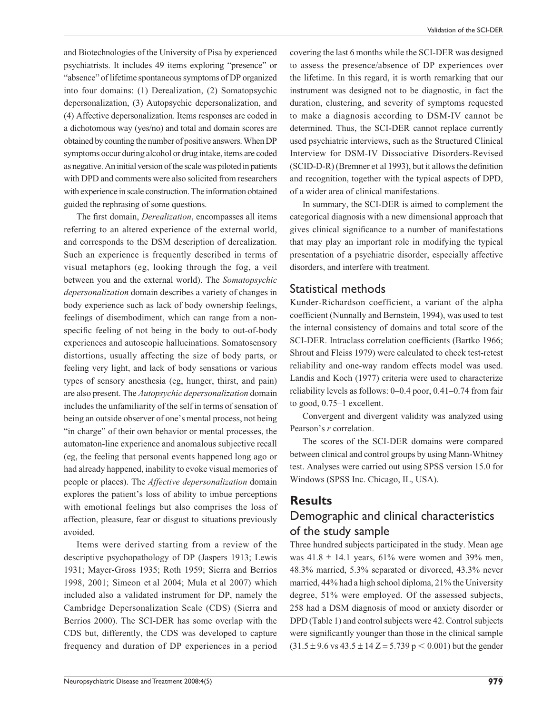and Biotechnologies of the University of Pisa by experienced psychiatrists. It includes 49 items exploring "presence" or "absence" of lifetime spontaneous symptoms of DP organized into four domains: (1) Derealization, (2) Somatopsychic depersonalization, (3) Autopsychic depersonalization, and (4) Affective depersonalization. Items responses are coded in a dichotomous way (yes/no) and total and domain scores are obtained by counting the number of positive answers. When DP symptoms occur during alcohol or drug intake, items are coded as negative. An initial version of the scale was piloted in patients with DPD and comments were also solicited from researchers with experience in scale construction. The information obtained guided the rephrasing of some questions.

The first domain, *Derealization*, encompasses all items referring to an altered experience of the external world, and corresponds to the DSM description of derealization. Such an experience is frequently described in terms of visual metaphors (eg, looking through the fog, a veil between you and the external world). The *Somatopsychic depersonalization* domain describes a variety of changes in body experience such as lack of body ownership feelings, feelings of disembodiment, which can range from a nonspecific feeling of not being in the body to out-of-body experiences and autoscopic hallucinations. Somatosensory distortions, usually affecting the size of body parts, or feeling very light, and lack of body sensations or various types of sensory anesthesia (eg, hunger, thirst, and pain) are also present. The *Autopsychic depersonalization* domain includes the unfamiliarity of the self in terms of sensation of being an outside observer of one's mental process, not being "in charge" of their own behavior or mental processes, the automaton-line experience and anomalous subjective recall (eg, the feeling that personal events happened long ago or had already happened, inability to evoke visual memories of people or places). The *Affective depersonalization* domain explores the patient's loss of ability to imbue perceptions with emotional feelings but also comprises the loss of affection, pleasure, fear or disgust to situations previously avoided.

Items were derived starting from a review of the descriptive psychopathology of DP (Jaspers 1913; Lewis 1931; Mayer-Gross 1935; Roth 1959; Sierra and Berrios 1998, 2001; Simeon et al 2004; Mula et al 2007) which included also a validated instrument for DP, namely the Cambridge Depersonalization Scale (CDS) (Sierra and Berrios 2000). The SCI-DER has some overlap with the CDS but, differently, the CDS was developed to capture frequency and duration of DP experiences in a period covering the last 6 months while the SCI-DER was designed to assess the presence/absence of DP experiences over the lifetime. In this regard, it is worth remarking that our instrument was designed not to be diagnostic, in fact the duration, clustering, and severity of symptoms requested to make a diagnosis according to DSM-IV cannot be determined. Thus, the SCI-DER cannot replace currently used psychiatric interviews, such as the Structured Clinical Interview for DSM-IV Dissociative Disorders-Revised  $(SCID-D-R)$  (Bremner et al 1993), but it allows the definition and recognition, together with the typical aspects of DPD, of a wider area of clinical manifestations.

In summary, the SCI-DER is aimed to complement the categorical diagnosis with a new dimensional approach that gives clinical significance to a number of manifestations that may play an important role in modifying the typical presentation of a psychiatric disorder, especially affective disorders, and interfere with treatment.

## Statistical methods

Kunder-Richardson coefficient, a variant of the alpha coefficient (Nunnally and Bernstein, 1994), was used to test the internal consistency of domains and total score of the SCI-DER. Intraclass correlation coefficients (Bartko 1966; Shrout and Fleiss 1979) were calculated to check test-retest reliability and one-way random effects model was used. Landis and Koch (1977) criteria were used to characterize reliability levels as follows: 0–0.4 poor, 0.41–0.74 from fair to good, 0.75–1 excellent.

Convergent and divergent validity was analyzed using Pearson's *r* correlation.

The scores of the SCI-DER domains were compared between clinical and control groups by using Mann-Whitney test. Analyses were carried out using SPSS version 15.0 for Windows (SPSS Inc. Chicago, IL, USA).

## **Results** Demographic and clinical characteristics of the study sample

Three hundred subjects participated in the study. Mean age was  $41.8 \pm 14.1$  years,  $61\%$  were women and 39% men, 48.3% married, 5.3% separated or divorced, 43.3% never married, 44% had a high school diploma, 21% the University degree, 51% were employed. Of the assessed subjects, 258 had a DSM diagnosis of mood or anxiety disorder or DPD (Table 1) and control subjects were 42. Control subjects were significantly younger than those in the clinical sample  $(31.5 \pm 9.6 \text{ vs } 43.5 \pm 14 \text{ Z} = 5.739 \text{ p} < 0.001)$  but the gender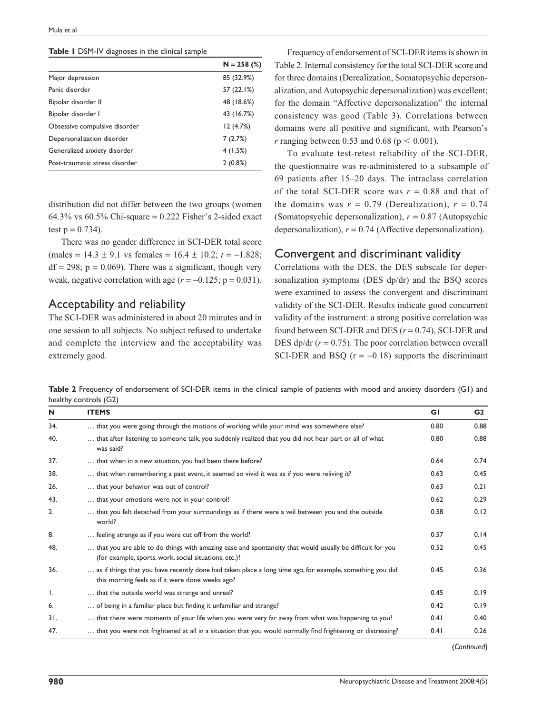**Table 1** DSM-IV diagnoses in the clinical sample

|                                | $N = 258$ (%) |
|--------------------------------|---------------|
| Major depression               | 85 (32.9%)    |
| Panic disorder                 | 57 (22.1%)    |
| Bipolar disorder II            | 48 (18.6%)    |
| Bipolar disorder I             | 43 (16.7%)    |
| Obsessive compulsive disorder  | 12(4.7%)      |
| Depersonalization disorder     | 7(2.7%)       |
| Generalized anxiety disorder   | 4(1.5%)       |
| Post-traumatic stress disorder | 2(0.8%)       |

distribution did not differ between the two groups (women 64.3% vs  $60.5\%$  Chi-square = 0.222 Fisher's 2-sided exact test  $p = 0.734$ .

There was no gender difference in SCI-DER total score (males = 14.3 ± 9.1 vs females = 16.4 ± 10.2; *t* = −1.828;  $df = 298$ ;  $p = 0.069$ ). There was a significant, though very weak, negative correlation with age  $(r = -0.125; p = 0.031)$ .

#### Acceptability and reliability

The SCI-DER was administered in about 20 minutes and in one session to all subjects. No subject refused to undertake and complete the interview and the acceptability was extremely good.

Frequency of endorsement of SCI-DER items is shown in Table 2. Internal consistency for the total SCI-DER score and for three domains (Derealization, Somatopsychic depersonalization, and Autopsychic depersonalization) was excellent; for the domain "Affective depersonalization" the internal consistency was good (Table 3). Correlations between domains were all positive and significant, with Pearson's *r* ranging between 0.53 and 0.68 ( $p < 0.001$ ).

To evaluate test-retest reliability of the SCI-DER, the questionnaire was re-administered to a subsample of 69 patients after 15–20 days. The intraclass correlation of the total SCI-DER score was  $r = 0.88$  and that of the domains was  $r = 0.79$  (Derealization),  $r = 0.74$ (Somatopsychic depersonalization), *r* = 0.87 (Autopsychic depersonalization),  $r = 0.74$  (Affective depersonalization).

#### Convergent and discriminant validity

Correlations with the DES, the DES subscale for depersonalization symptoms (DES dp/dr) and the BSQ scores were examined to assess the convergent and discriminant validity of the SCI-DER. Results indicate good concurrent validity of the instrument: a strong positive correlation was found between SCI-DER and DES  $(r = 0.74)$ , SCI-DER and DES dp/dr  $(r = 0.75)$ . The poor correlation between overall SCI-DER and BSQ  $(r = -0.18)$  supports the discriminant

**Table 2** Frequency of endorsement of SCI-DER items in the clinical sample of patients with mood and anxiety disorders (G1) and healthy controls (G2)

|     | <b>ITEMS</b>                                                                                                                                                      | GI   | G2   |
|-----|-------------------------------------------------------------------------------------------------------------------------------------------------------------------|------|------|
| 34. | that you were going through the motions of working while your mind was somewhere else?                                                                            | 0.80 | 0.88 |
| 40. | that after listening to someone talk, you suddenly realized that you did not hear part or all of what<br>was said?                                                | 0.80 | 0.88 |
| 37. | that when in a new situation, you had been there before?                                                                                                          | 0.64 | 0.74 |
| 38. | that when remembering a past event, it seemed so vivid it was as if you were reliving it?                                                                         | 0.63 | 0.45 |
| 26. | that your behavior was out of control?                                                                                                                            | 0.63 | 0.21 |
| 43. | that your emotions were not in your control?                                                                                                                      | 0.62 | 0.29 |
| 2.  | that you felt detached from your surroundings as if there were a veil between you and the outside<br>world?                                                       | 0.58 | 0.12 |
| 8.  | feeling strange as if you were cut off from the world?                                                                                                            | 0.57 | 0.14 |
| 48. | that you are able to do things with amazing ease and spontaneity that would usually be difficult for you<br>(for example, sports, work, social situations, etc.)? | 0.52 | 0.45 |
| 36. | as if things that you have recently done had taken place a long time ago, for example, something you did<br>this morning feels as if it were done weeks ago?      | 0.45 | 0.36 |
| Ι.  | that the outside world was strange and unreal?                                                                                                                    | 0.45 | 0.19 |
| 6.  | of being in a familiar place but finding it unfamiliar and strange?                                                                                               | 0.42 | 0.19 |
| 31. | that there were moments of your life when you were very far away from what was happening to you?                                                                  | 0.41 | 0.40 |
| 47. | that you were not frightened at all in a situation that you would normally find frightening or distressing?                                                       | 0.41 | 0.26 |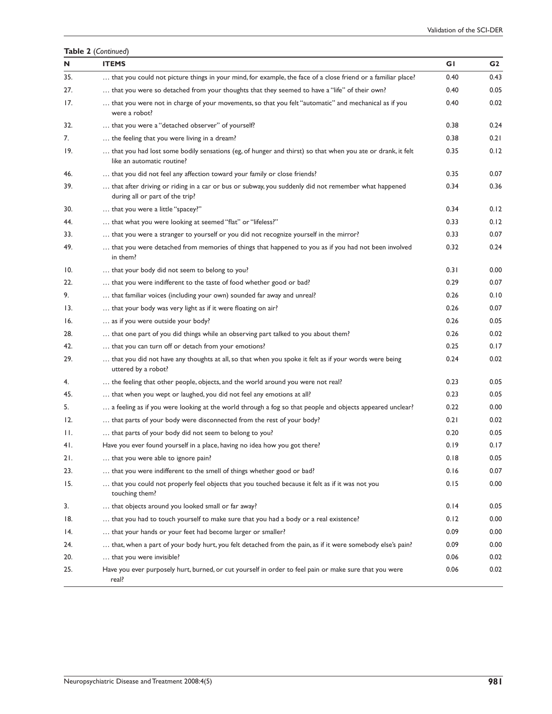|     | Table 2 (Continued)                                                                                                                      |      |      |
|-----|------------------------------------------------------------------------------------------------------------------------------------------|------|------|
| N   | <b>ITEMS</b>                                                                                                                             | GI   | G2   |
| 35. | that you could not picture things in your mind, for example, the face of a close friend or a familiar place?                             | 0.40 | 0.43 |
| 27. | that you were so detached from your thoughts that they seemed to have a "life" of their own?                                             | 0.40 | 0.05 |
| 17. | that you were not in charge of your movements, so that you felt "automatic" and mechanical as if you<br>were a robot?                    | 0.40 | 0.02 |
| 32. | that you were a "detached observer" of yourself?                                                                                         | 0.38 | 0.24 |
| 7.  | the feeling that you were living in a dream?                                                                                             | 0.38 | 0.21 |
| 19. | that you had lost some bodily sensations (eg, of hunger and thirst) so that when you ate or drank, it felt<br>like an automatic routine? | 0.35 | 0.12 |
| 46. | that you did not feel any affection toward your family or close friends?                                                                 | 0.35 | 0.07 |
| 39. | that after driving or riding in a car or bus or subway, you suddenly did not remember what happened<br>during all or part of the trip?   | 0.34 | 0.36 |
| 30. | that you were a little "spacey?"                                                                                                         | 0.34 | 0.12 |
| 44. | that what you were looking at seemed "flat" or "lifeless?"                                                                               | 0.33 | 0.12 |
| 33. | that you were a stranger to yourself or you did not recognize yourself in the mirror?                                                    | 0.33 | 0.07 |
| 49. | that you were detached from memories of things that happened to you as if you had not been involved<br>in them?                          | 0.32 | 0.24 |
| 10. | that your body did not seem to belong to you?                                                                                            | 0.31 | 0.00 |
| 22. | that you were indifferent to the taste of food whether good or bad?                                                                      | 0.29 | 0.07 |
| 9.  | that familiar voices (including your own) sounded far away and unreal?                                                                   | 0.26 | 0.10 |
| 13. | that your body was very light as if it were floating on air?                                                                             | 0.26 | 0.07 |
| 16. | as if you were outside your body?                                                                                                        | 0.26 | 0.05 |
| 28. | that one part of you did things while an observing part talked to you about them?                                                        | 0.26 | 0.02 |
| 42. | that you can turn off or detach from your emotions?                                                                                      | 0.25 | 0.17 |
| 29. | that you did not have any thoughts at all, so that when you spoke it felt as if your words were being<br>uttered by a robot?             | 0.24 | 0.02 |
| 4.  | the feeling that other people, objects, and the world around you were not real?                                                          | 0.23 | 0.05 |
| 45. | that when you wept or laughed, you did not feel any emotions at all?                                                                     | 0.23 | 0.05 |
| 5.  | a feeling as if you were looking at the world through a fog so that people and objects appeared unclear?                                 | 0.22 | 0.00 |
| 12. | that parts of your body were disconnected from the rest of your body?                                                                    | 0.21 | 0.02 |
| Н.  | that parts of your body did not seem to belong to you?                                                                                   | 0.20 | 0.05 |
| 41. | Have you ever found yourself in a place, having no idea how you got there?                                                               | 0.19 | 0.17 |
| 21. | that you were able to ignore pain?                                                                                                       | 0.18 | 0.05 |
| 23. | that you were indifferent to the smell of things whether good or bad?                                                                    | 0.16 | 0.07 |
| 15. | that you could not properly feel objects that you touched because it felt as if it was not you<br>touching them?                         | 0.15 | 0.00 |
| 3.  | that objects around you looked small or far away?                                                                                        | 0.14 | 0.05 |
| 18. | that you had to touch yourself to make sure that you had a body or a real existence?                                                     | 0.12 | 0.00 |
| 14. | that your hands or your feet had become larger or smaller?                                                                               | 0.09 | 0.00 |
| 24. | that, when a part of your body hurt, you felt detached from the pain, as if it were somebody else's pain?                                | 0.09 | 0.00 |
| 20. | that you were invisible?                                                                                                                 | 0.06 | 0.02 |
| 25. | Have you ever purposely hurt, burned, or cut yourself in order to feel pain or make sure that you were<br>real?                          | 0.06 | 0.02 |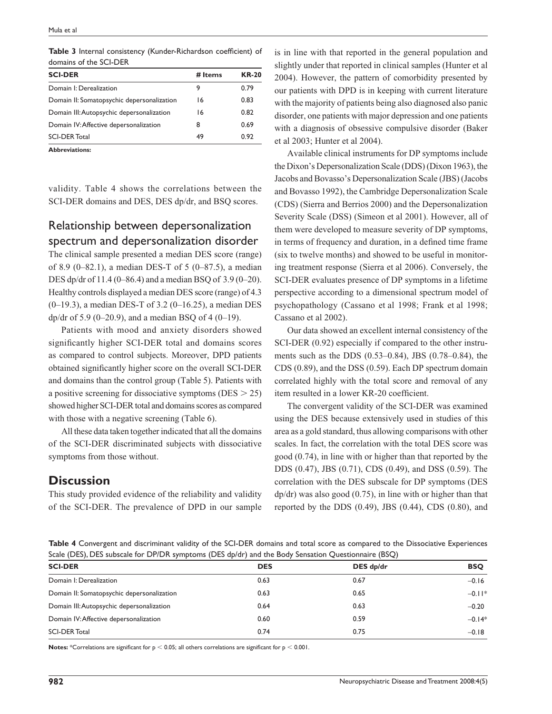| domains of the SCI-DER                     |         |              |  |  |
|--------------------------------------------|---------|--------------|--|--|
| <b>SCI-DER</b>                             | # Items | <b>KR-20</b> |  |  |
| Domain I: Derealization                    | 9       | 0.79         |  |  |
| Domain II: Somatopsychic depersonalization | 16      | 0.83         |  |  |
| Domain III: Autopsychic depersonalization  | 16      | 0.82         |  |  |
| Domain IV: Affective depersonalization     | 8       | 0.69         |  |  |
| <b>SCI-DER Total</b>                       | 49      | 0.92         |  |  |

**Table 3** Internal consistency (Kunder-Richardson coefficient) of domains of the SCI-DER

**Abbreviations:**

validity. Table 4 shows the correlations between the SCI-DER domains and DES, DES dp/dr, and BSQ scores.

## Relationship between depersonalization spectrum and depersonalization disorder

The clinical sample presented a median DES score (range) of 8.9 (0–82.1), a median DES-T of 5 (0–87.5), a median DES dp/dr of 11.4 (0–86.4) and a median BSQ of 3.9 (0–20). Healthy controls displayed a median DES score (range) of 4.3 (0–19.3), a median DES-T of 3.2 (0–16.25), a median DES dp/dr of 5.9 (0–20.9), and a median BSQ of 4 (0–19).

Patients with mood and anxiety disorders showed significantly higher SCI-DER total and domains scores as compared to control subjects. Moreover, DPD patients obtained significantly higher score on the overall SCI-DER and domains than the control group (Table 5). Patients with a positive screening for dissociative symptoms ( $DES > 25$ ) showed higher SCI-DER total and domains scores as compared with those with a negative screening (Table 6).

All these data taken together indicated that all the domains of the SCI-DER discriminated subjects with dissociative symptoms from those without.

## **Discussion**

This study provided evidence of the reliability and validity of the SCI-DER. The prevalence of DPD in our sample is in line with that reported in the general population and slightly under that reported in clinical samples (Hunter et al 2004). However, the pattern of comorbidity presented by our patients with DPD is in keeping with current literature with the majority of patients being also diagnosed also panic disorder, one patients with major depression and one patients with a diagnosis of obsessive compulsive disorder (Baker et al 2003; Hunter et al 2004).

Available clinical instruments for DP symptoms include the Dixon's Depersonalization Scale (DDS) (Dixon 1963), the Jacobs and Bovasso's Depersonalization Scale (JBS) (Jacobs and Bovasso 1992), the Cambridge Depersonalization Scale (CDS) (Sierra and Berrios 2000) and the Depersonalization Severity Scale (DSS) (Simeon et al 2001). However, all of them were developed to measure severity of DP symptoms, in terms of frequency and duration, in a defined time frame (six to twelve months) and showed to be useful in monitoring treatment response (Sierra et al 2006). Conversely, the SCI-DER evaluates presence of DP symptoms in a lifetime perspective according to a dimensional spectrum model of psychopathology (Cassano et al 1998; Frank et al 1998; Cassano et al 2002).

Our data showed an excellent internal consistency of the SCI-DER (0.92) especially if compared to the other instruments such as the DDS (0.53–0.84), JBS (0.78–0.84), the CDS (0.89), and the DSS (0.59). Each DP spectrum domain correlated highly with the total score and removal of any item resulted in a lower KR-20 coefficient.

The convergent validity of the SCI-DER was examined using the DES because extensively used in studies of this area as a gold standard, thus allowing comparisons with other scales. In fact, the correlation with the total DES score was good (0.74), in line with or higher than that reported by the DDS (0.47), JBS (0.71), CDS (0.49), and DSS (0.59). The correlation with the DES subscale for DP symptoms (DES dp/dr) was also good (0.75), in line with or higher than that reported by the DDS  $(0.49)$ , JBS  $(0.44)$ , CDS  $(0.80)$ , and

**Table 4** Convergent and discriminant validity of the SCI-DER domains and total score as compared to the Dissociative Experiences Scale (DES), DES subscale for DP/DR symptoms (DES dp/dr) and the Body Sensation Questionnaire (BSQ)

| <b>SCI-DER</b>                             | <b>DES</b> | DES dp/dr | <b>BSQ</b> |
|--------------------------------------------|------------|-----------|------------|
| Domain I: Derealization                    | 0.63       | 0.67      | $-0.16$    |
| Domain II: Somatopsychic depersonalization | 0.63       | 0.65      | $-0.11*$   |
| Domain III: Autopsychic depersonalization  | 0.64       | 0.63      | $-0.20$    |
| Domain IV: Affective depersonalization     | 0.60       | 0.59      | $-0.14*$   |
| <b>SCI-DER Total</b>                       | 0.74       | 0.75      | $-0.18$    |

**Notes:** \*Correlations are significant for  $p < 0.05$ ; all others correlations are significant for  $p < 0.001$ .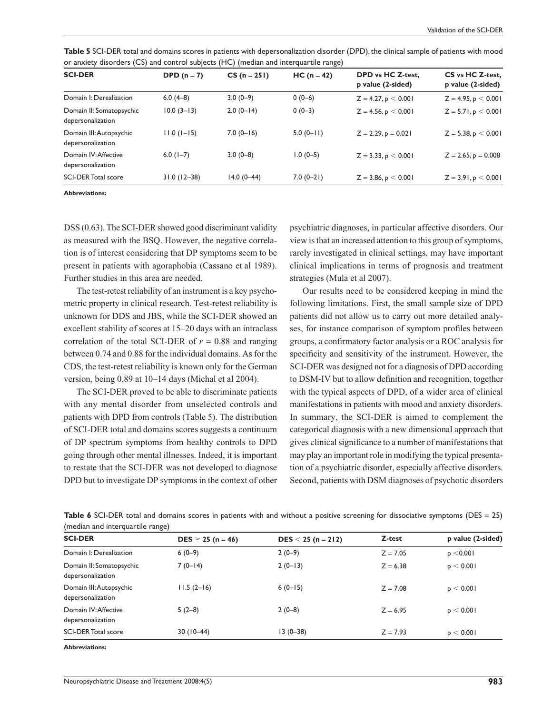| <b>SCI-DER</b>                                | DPD $(n=7)$     | $CS(n = 251)$ | $HC (n = 42)$ | DPD vs HC Z-test,<br>p value (2-sided) | CS vs HC Z-test,<br>p value (2-sided) |
|-----------------------------------------------|-----------------|---------------|---------------|----------------------------------------|---------------------------------------|
| Domain I: Derealization                       | $6.0(4-8)$      | $3.0(0-9)$    | $0(0-6)$      | $Z = 4.27$ , $p < 0.001$               | $Z = 4.95$ , $p < 0.001$              |
| Domain II: Somatopsychic<br>depersonalization | $10.0(3-13)$    | $2.0(0-14)$   | $0(0-3)$      | $Z = 4.56$ , p $< 0.001$               | $Z = 5.71$ , p $< 0.001$              |
| Domain III: Autopsychic<br>depersonalization  | $11.0(1-15)$    | $7.0(0-16)$   | $5.0(0-11)$   | $Z = 2.29$ , $p = 0.021$               | $Z = 5.38$ , p $< 0.001$              |
| Domain IV: Affective<br>depersonalization     | $6.0(1-7)$      | $3.0(0-8)$    | $1.0(0-5)$    | $Z = 3.33$ , p $< 0.001$               | $Z = 2.65$ , $p = 0.008$              |
| <b>SCI-DER Total score</b>                    | $31.0(12 - 38)$ | $14.0(0-44)$  | $7.0(0-21)$   | $Z = 3.86$ , p $< 0.001$               | $Z = 3.91$ , $p < 0.001$              |
|                                               |                 |               |               |                                        |                                       |

**Table 5** SCI-DER total and domains scores in patients with depersonalization disorder (DPD), the clinical sample of patients with mood or anxiety disorders (CS) and control subjects (HC) (median and interquartile range)

**Abbreviations:**

DSS (0.63). The SCI-DER showed good discriminant validity as measured with the BSQ. However, the negative correlation is of interest considering that DP symptoms seem to be present in patients with agoraphobia (Cassano et al 1989). Further studies in this area are needed.

The test-retest reliability of an instrument is a key psychometric property in clinical research. Test-retest reliability is unknown for DDS and JBS, while the SCI-DER showed an excellent stability of scores at 15–20 days with an intraclass correlation of the total SCI-DER of  $r = 0.88$  and ranging between 0.74 and 0.88 for the individual domains. As for the CDS, the test-retest reliability is known only for the German version, being 0.89 at 10–14 days (Michal et al 2004).

The SCI-DER proved to be able to discriminate patients with any mental disorder from unselected controls and patients with DPD from controls (Table 5). The distribution of SCI-DER total and domains scores suggests a continuum of DP spectrum symptoms from healthy controls to DPD going through other mental illnesses. Indeed, it is important to restate that the SCI-DER was not developed to diagnose DPD but to investigate DP symptoms in the context of other psychiatric diagnoses, in particular affective disorders. Our view is that an increased attention to this group of symptoms, rarely investigated in clinical settings, may have important clinical implications in terms of prognosis and treatment strategies (Mula et al 2007).

Our results need to be considered keeping in mind the following limitations. First, the small sample size of DPD patients did not allow us to carry out more detailed analyses, for instance comparison of symptom profiles between groups, a confirmatory factor analysis or a ROC analysis for specificity and sensitivity of the instrument. However, the SCI-DER was designed not for a diagnosis of DPD according to DSM-IV but to allow definition and recognition, together with the typical aspects of DPD, of a wider area of clinical manifestations in patients with mood and anxiety disorders. In summary, the SCI-DER is aimed to complement the categorical diagnosis with a new dimensional approach that gives clinical significance to a number of manifestations that may play an important role in modifying the typical presentation of a psychiatric disorder, especially affective disorders. Second, patients with DSM diagnoses of psychotic disorders

Table 6 SCI-DER total and domains scores in patients with and without a positive screening for dissociative symptoms (DES = 25) (median and interquartile range)

| <b>SCI-DER</b>                                | $DES \ge 25$ (n = 46) | $DES < 25 (n = 212)$ | Z-test     | p value (2-sided) |
|-----------------------------------------------|-----------------------|----------------------|------------|-------------------|
| Domain I: Derealization                       | $6(0-9)$              | $2(0-9)$             | $Z = 7.05$ | p < 0.001         |
| Domain II: Somatopsychic<br>depersonalization | $7(0-14)$             | $2(0-13)$            | $Z = 6.38$ | p < 0.001         |
| Domain III: Autopsychic<br>depersonalization  | $11.5(2-16)$          | $6(0-15)$            | $Z = 7.08$ | p < 0.001         |
| Domain IV: Affective<br>depersonalization     | $5(2-8)$              | $2(0-8)$             | $Z = 6.95$ | p < 0.001         |
| <b>SCI-DER Total score</b>                    | $30(10-44)$           | $13(0-38)$           | $Z = 7.93$ | p < 0.001         |
| <b>Abbreviations:</b>                         |                       |                      |            |                   |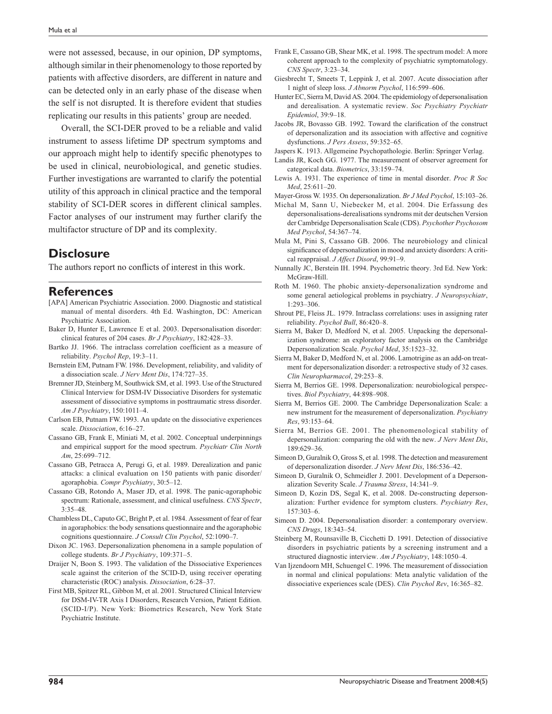were not assessed, because, in our opinion, DP symptoms, although similar in their phenomenology to those reported by patients with affective disorders, are different in nature and can be detected only in an early phase of the disease when the self is not disrupted. It is therefore evident that studies replicating our results in this patients' group are needed.

Overall, the SCI-DER proved to be a reliable and valid instrument to assess lifetime DP spectrum symptoms and our approach might help to identify specific phenotypes to be used in clinical, neurobiological, and genetic studies. Further investigations are warranted to clarify the potential utility of this approach in clinical practice and the temporal stability of SCI-DER scores in different clinical samples. Factor analyses of our instrument may further clarify the multifactor structure of DP and its complexity.

## **Disclosure**

The authors report no conflicts of interest in this work.

#### **References**

- [APA] American Psychiatric Association. 2000. Diagnostic and statistical manual of mental disorders. 4th Ed. Washington, DC: American Psychiatric Association.
- Baker D, Hunter E, Lawrence E et al. 2003. Depersonalisation disorder: clinical features of 204 cases. *Br J Psychiatry*, 182:428–33.
- Bartko JJ. 1966. The intraclass correlation coefficient as a measure of reliability. *Psychol Rep*, 19:3–11.
- Bernstein EM, Putnam FW. 1986. Development, reliability, and validity of a dissociation scale. *J Nerv Ment Dis*, 174:727–35.
- Bremner JD, Steinberg M, Southwick SM, et al. 1993. Use of the Structured Clinical Interview for DSM-IV Dissociative Disorders for systematic assessment of dissociative symptoms in posttraumatic stress disorder. *Am J Psychiatry*, 150:1011–4.
- Carlson EB, Putnam FW. 1993. An update on the dissociative experiences scale. *Dissociation*, 6:16–27.
- Cassano GB, Frank E, Miniati M, et al. 2002. Conceptual underpinnings and empirical support for the mood spectrum. *Psychiatr Clin North Am*, 25:699–712.
- Cassano GB, Petracca A, Perugi G, et al. 1989. Derealization and panic attacks: a clinical evaluation on 150 patients with panic disorder/ agoraphobia. *Compr Psychiatry*, 30:5–12.
- Cassano GB, Rotondo A, Maser JD, et al. 1998. The panic-agoraphobic spectrum: Rationale, assessment, and clinical usefulness. *CNS Spectr*, 3:35–48.
- Chambless DL, Caputo GC, Bright P, et al. 1984. Assessment of fear of fear in agoraphobics: the body sensations questionnaire and the agoraphobic cognitions questionnaire. *J Consult Clin Psychol*, 52:1090–7.
- Dixon JC. 1963. Depersonalization phenomena in a sample population of college students. *Br J Psychiatry*, 109:371–5.
- Draijer N, Boon S. 1993. The validation of the Dissociative Experiences scale against the criterion of the SCID-D, using receiver operating characteristic (ROC) analysis. *Dissociation*, 6:28–37.
- First MB, Spitzer RL, Gibbon M, et al. 2001. Structured Clinical Interview for DSM-IV-TR Axis I Disorders, Research Version, Patient Edition. (SCID-I/P). New York: Biometrics Research, New York State Psychiatric Institute.
- Frank E, Cassano GB, Shear MK, et al. 1998. The spectrum model: A more coherent approach to the complexity of psychiatric symptomatology. *CNS Spectr*, 3:23–34.
- Giesbrecht T, Smeets T, Leppink J, et al. 2007. Acute dissociation after 1 night of sleep loss. *J Abnorm Psychol*, 116:599–606.
- Hunter EC, Sierra M, David AS. 2004. The epidemiology of depersonalisation and derealisation. A systematic review. *Soc Psychiatry Psychiatr Epidemiol*, 39:9–18.
- Jacobs JR, Bovasso GB. 1992. Toward the clarification of the construct of depersonalization and its association with affective and cognitive dysfunctions. *J Pers Assess*, 59:352–65.
- Jaspers K. 1913. Allgemeine Psychopathologie. Berlin: Springer Verlag.
- Landis JR, Koch GG. 1977. The measurement of observer agreement for categorical data. *Biometrics*, 33:159–74.
- Lewis A. 1931. The experience of time in mental disorder. *Proc R Soc Med*, 25:611–20.
- Mayer-Gross W. 1935. On depersonalization. *Br J Med Psychol*, 15:103–26.
- Michal M, Sann U, Niebecker M, et al. 2004. Die Erfassung des depersonalisations-derealisations syndroms mit der deutschen Version der Cambridge Depersonalisation Scale (CDS). *Psychother Psychosom Med Psychol*, 54:367–74.
- Mula M, Pini S, Cassano GB. 2006. The neurobiology and clinical significance of depersonalization in mood and anxiety disorders: A critical reappraisal. *J Affect Disord*, 99:91–9.
- Nunnally JC, Berstein IH. 1994. Psychometric theory. 3rd Ed. New York: McGraw-Hill.
- Roth M. 1960. The phobic anxiety-depersonalization syndrome and some general aetiological problems in psychiatry. *J Neuropsychiatr*, 1:293–306.
- Shrout PE, Fleiss JL. 1979. Intraclass correlations: uses in assigning rater reliability. *Psychol Bull*, 86:420–8.
- Sierra M, Baker D, Medford N, et al. 2005. Unpacking the depersonalization syndrome: an exploratory factor analysis on the Cambridge Depersonalization Scale. *Psychol Med*, 35:1523–32.
- Sierra M, Baker D, Medford N, et al. 2006. Lamotrigine as an add-on treatment for depersonalization disorder: a retrospective study of 32 cases. *Clin Neuropharmacol*, 29:253–8.
- Sierra M, Berrios GE. 1998. Depersonalization: neurobiological perspectives. *Biol Psychiatry*, 44:898–908.
- Sierra M, Berrios GE. 2000. The Cambridge Depersonalization Scale: a new instrument for the measurement of depersonalization. *Psychiatry Res*, 93:153–64.
- Sierra M, Berrios GE. 2001. The phenomenological stability of depersonalization: comparing the old with the new. *J Nerv Ment Dis*, 189:629–36.
- Simeon D, Guralnik O, Gross S, et al. 1998. The detection and measurement of depersonalization disorder. *J Nerv Ment Dis*, 186:536–42.
- Simeon D, Guralnik O, Schmeidler J. 2001. Development of a Depersonalization Severity Scale. *J Trauma Stress*, 14:341–9.
- Simeon D, Kozin DS, Segal K, et al. 2008. De-constructing depersonalization: Further evidence for symptom clusters. *Psychiatry Res*, 157:303–6.
- Simeon D. 2004. Depersonalisation disorder: a contemporary overview. *CNS Drugs*, 18:343–54.
- Steinberg M, Rounsaville B, Cicchetti D. 1991. Detection of dissociative disorders in psychiatric patients by a screening instrument and a structured diagnostic interview. *Am J Psychiatry*, 148:1050–4.
- Van Ijzendoorn MH, Schuengel C. 1996. The measurement of dissociation in normal and clinical populations: Meta analytic validation of the dissociative experiences scale (DES). *Clin Psychol Rev*, 16:365–82.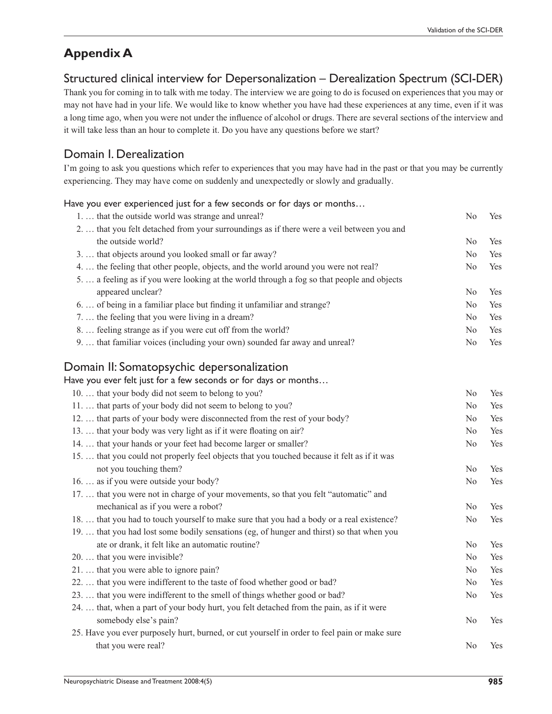## **Appendix A**

## Structured clinical interview for Depersonalization – Derealization Spectrum (SCI-DER)

Thank you for coming in to talk with me today. The interview we are going to do is focused on experiences that you may or may not have had in your life. We would like to know whether you have had these experiences at any time, even if it was a long time ago, when you were not under the influence of alcohol or drugs. There are several sections of the interview and it will take less than an hour to complete it. Do you have any questions before we start?

## Domain I. Derealization

I'm going to ask you questions which refer to experiences that you may have had in the past or that you may be currently experiencing. They may have come on suddenly and unexpectedly or slowly and gradually.

Have you ever experienced just for a few seconds or for days or months… 1. ... that the outside world was strange and unreal? No Yes 2. … that you felt detached from your surroundings as if there were a veil between you and the outside world? No Yes 3. … that objects around you looked small or far away? No Yes 4. … the feeling that other people, objects, and the world around you were not real? No Yes 5. … a feeling as if you were looking at the world through a fog so that people and objects appeared unclear? No Yes 6.... of being in a familiar place but finding it unfamiliar and strange? No Yes 7. … the feeling that you were living in a dream? No Yes 8. . . feeling strange as if you were cut off from the world? No Yes 9. … that familiar voices (including your own) sounded far away and unreal? No Yes Domain II: Somatopsychic depersonalization Have you ever felt just for a few seconds or for days or months… 10. ... that your body did not seem to belong to you? No Yes 11. ... that parts of your body did not seem to belong to you? No Yes 12. ... that parts of your body were disconnected from the rest of your body? No Yes 13. ... that your body was very light as if it were floating on air? No Yes 14. … that your hands or your feet had become larger or smaller? No Yes 15. … that you could not properly feel objects that you touched because it felt as if it was not you touching them? No Yes 16. … as if you were outside your body? No Yes 17. … that you were not in charge of your movements, so that you felt "automatic" and mechanical as if you were a robot? No Yes 18. … that you had to touch yourself to make sure that you had a body or a real existence? No Yes 19. … that you had lost some bodily sensations (eg, of hunger and thirst) so that when you ate or drank, it felt like an automatic routine? No Yes 20. … that you were invisible? No Yes 21. ... that you were able to ignore pain? No Yes 22. ... that you were indifferent to the taste of food whether good or bad? No Yes 23. ... that you were indifferent to the smell of things whether good or bad? No Yes 24. … that, when a part of your body hurt, you felt detached from the pain, as if it were somebody else's pain? No Yes 25. Have you ever purposely hurt, burned, or cut yourself in order to feel pain or make sure that you were real? No Yes